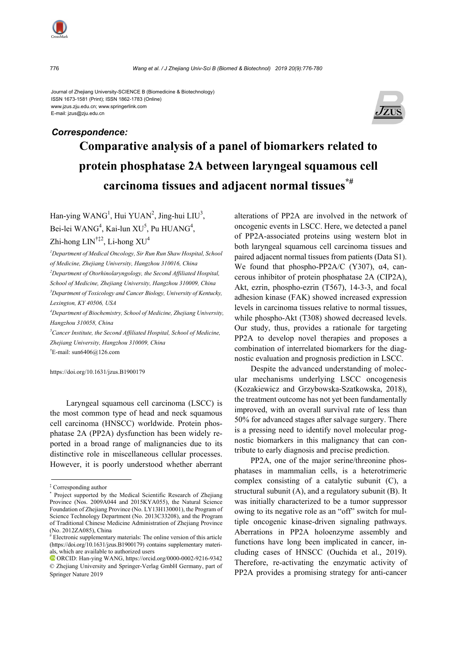#### Journal of Zhejiang University-SCIENCE B (Biomedicine & Biotechnology) ISSN 1673-1581 (Print); ISSN 1862-1783 (Online) www.jzus.zju.edu.cn; www.springerlink.com E-mail: jzus@zju.edu.cn



# **Comparative analysis of a panel of biomarkers related to protein phosphatase 2A between laryngeal squamous cell carcinoma tissues and adjacent normal tissues\*#** *Correspondence:*

Han-ying WANG<sup>1</sup>, Hui YUAN<sup>2</sup>, Jing-hui LIU<sup>3</sup>, Bei-lei WANG<sup>4</sup>, Kai-lun XU<sup>5</sup>, Pu HUANG<sup>4</sup>, Zhi-hong  $LIN^{\dagger\ddagger2}$ , Li-hong  $XU^4$ 

*2 Department of Otorhinolaryngology, the Second Affiliated Hospital, School of Medicine, Zhejiang University, Hangzhou 310009, China* 

*3 Department of Toxicology and Cancer Biology, University of Kentucky, Lexington, KY 40506, USA* 

*4 Department of Biochemistry, School of Medicine, Zhejiang University, Hangzhou 310058, China* 

*5 Cancer Institute, the Second Affiliated Hospital, School of Medicine, Zhejiang University, Hangzhou 310009, China*  † E-mail: sun6406@126.com

https://doi.org/10.1631/jzus.B1900179

Laryngeal squamous cell carcinoma (LSCC) is the most common type of head and neck squamous cell carcinoma (HNSCC) worldwide. Protein phosphatase 2A (PP2A) dysfunction has been widely reported in a broad range of malignancies due to its distinctive role in miscellaneous cellular processes. However, it is poorly understood whether aberrant alterations of PP2A are involved in the network of oncogenic events in LSCC. Here, we detected a panel of PP2A-associated proteins using western blot in both laryngeal squamous cell carcinoma tissues and paired adjacent normal tissues from patients (Data S1). We found that phospho-PP2A/C (Y307), α4, cancerous inhibitor of protein phosphatase 2A (CIP2A), Akt, ezrin, phospho-ezrin (T567), 14-3-3, and focal adhesion kinase (FAK) showed increased expression levels in carcinoma tissues relative to normal tissues, while phospho-Akt (T308) showed decreased levels. Our study, thus, provides a rationale for targeting PP2A to develop novel therapies and proposes a combination of interrelated biomarkers for the diagnostic evaluation and prognosis prediction in LSCC.

Despite the advanced understanding of molecular mechanisms underlying LSCC oncogenesis (Kozakiewicz and Grzybowska-Szatkowska, 2018), the treatment outcome has not yet been fundamentally improved, with an overall survival rate of less than 50% for advanced stages after salvage surgery. There is a pressing need to identify novel molecular prognostic biomarkers in this malignancy that can contribute to early diagnosis and precise prediction.

PP2A, one of the major serine/threonine phosphatases in mammalian cells, is a heterotrimeric complex consisting of a catalytic subunit (C), a structural subunit (A), and a regulatory subunit (B). It was initially characterized to be a tumor suppressor owing to its negative role as an "off" switch for multiple oncogenic kinase-driven signaling pathways. Aberrations in PP2A holoenzyme assembly and functions have long been implicated in cancer, including cases of HNSCC (Ouchida et al., 2019). Therefore, re-activating the enzymatic activity of PP2A provides a promising strategy for anti-cancer

*<sup>1</sup> Department of Medical Oncology, Sir Run Run Shaw Hospital, School of Medicine, Zhejiang University, Hangzhou 310016, China* 

<sup>‡</sup> Corresponding author

<sup>\*</sup> Project supported by the Medical Scientific Research of Zhejiang Province (Nos. 2009A044 and 2015KYA055), the Natural Science Foundation of Zhejiang Province (No. LY13H130001), the Program of Science Technology Department (No. 2013C33208), and the Program of Traditional Chinese Medicine Administration of Zhejiang Province (No. 2012ZA085), China #

Electronic supplementary materials: The online version of this article (https://doi.org/10.1631/jzus.B1900179) contains supplementary materials, which are available to authorized users

ORCID: Han-ying WANG, https://orcid.org/0000-0002-9216-9342 © Zhejiang University and Springer-Verlag GmbH Germany, part of Springer Nature 2019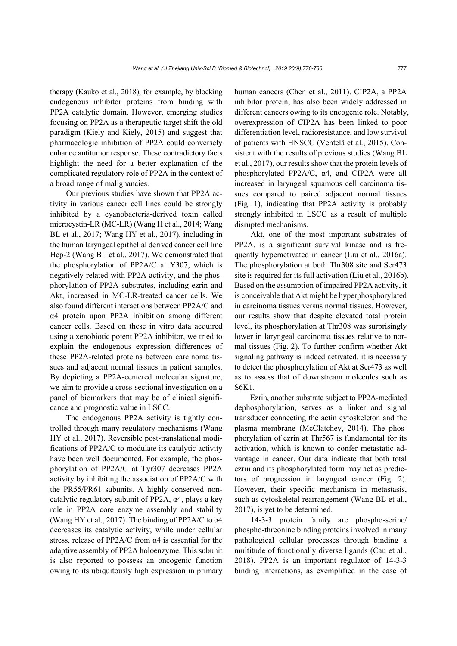therapy (Kauko et al., 2018), for example, by blocking endogenous inhibitor proteins from binding with PP2A catalytic domain. However, emerging studies focusing on PP2A as a therapeutic target shift the old paradigm (Kiely and Kiely, 2015) and suggest that pharmacologic inhibition of PP2A could conversely enhance antitumor response. These contradictory facts highlight the need for a better explanation of the complicated regulatory role of PP2A in the context of a broad range of malignancies.

Our previous studies have shown that PP2A activity in various cancer cell lines could be strongly inhibited by a cyanobacteria-derived toxin called microcystin-LR (MC-LR) (Wang H et al., 2014; Wang BL et al., 2017; Wang HY et al., 2017), including in the human laryngeal epithelial derived cancer cell line Hep-2 (Wang BL et al., 2017). We demonstrated that the phosphorylation of PP2A/C at Y307, which is negatively related with PP2A activity, and the phosphorylation of PP2A substrates, including ezrin and Akt, increased in MC-LR-treated cancer cells. We also found different interactions between PP2A/C and α4 protein upon PP2A inhibition among different cancer cells. Based on these in vitro data acquired using a xenobiotic potent PP2A inhibitor, we tried to explain the endogenous expression differences of these PP2A-related proteins between carcinoma tissues and adjacent normal tissues in patient samples. By depicting a PP2A-centered molecular signature, we aim to provide a cross-sectional investigation on a panel of biomarkers that may be of clinical significance and prognostic value in LSCC.

The endogenous PP2A activity is tightly controlled through many regulatory mechanisms (Wang HY et al., 2017). Reversible post-translational modifications of PP2A/C to modulate its catalytic activity have been well documented. For example, the phosphorylation of PP2A/C at Tyr307 decreases PP2A activity by inhibiting the association of PP2A/C with the PR55/PR61 subunits. A highly conserved noncatalytic regulatory subunit of PP2A, α4, plays a key role in PP2A core enzyme assembly and stability (Wang HY et al., 2017). The binding of PP2A/C to  $\alpha$ 4 decreases its catalytic activity, while under cellular stress, release of PP2A/C from  $\alpha$ 4 is essential for the adaptive assembly of PP2A holoenzyme. This subunit is also reported to possess an oncogenic function owing to its ubiquitously high expression in primary human cancers (Chen et al., 2011). CIP2A, a PP2A inhibitor protein, has also been widely addressed in different cancers owing to its oncogenic role. Notably, overexpression of CIP2A has been linked to poor differentiation level, radioresistance, and low survival of patients with HNSCC (Ventelä et al., 2015). Consistent with the results of previous studies (Wang BL et al., 2017), our results show that the protein levels of phosphorylated PP2A/C, α4, and CIP2A were all increased in laryngeal squamous cell carcinoma tissues compared to paired adjacent normal tissues (Fig. 1), indicating that PP2A activity is probably strongly inhibited in LSCC as a result of multiple disrupted mechanisms.

Akt, one of the most important substrates of PP2A, is a significant survival kinase and is frequently hyperactivated in cancer (Liu et al., 2016a). The phosphorylation at both Thr308 site and Ser473 site is required for its full activation (Liu et al., 2016b). Based on the assumption of impaired PP2A activity, it is conceivable that Akt might be hyperphosphorylated in carcinoma tissues versus normal tissues. However, our results show that despite elevated total protein level, its phosphorylation at Thr308 was surprisingly lower in laryngeal carcinoma tissues relative to normal tissues (Fig. 2). To further confirm whether Akt signaling pathway is indeed activated, it is necessary to detect the phosphorylation of Akt at Ser473 as well as to assess that of downstream molecules such as S6K1.

Ezrin, another substrate subject to PP2A-mediated dephosphorylation, serves as a linker and signal transducer connecting the actin cytoskeleton and the plasma membrane (McClatchey, 2014). The phosphorylation of ezrin at Thr567 is fundamental for its activation, which is known to confer metastatic advantage in cancer. Our data indicate that both total ezrin and its phosphorylated form may act as predictors of progression in laryngeal cancer (Fig. 2). However, their specific mechanism in metastasis, such as cytoskeletal rearrangement (Wang BL et al., 2017), is yet to be determined.

14-3-3 protein family are phospho-serine/ phospho-threonine binding proteins involved in many pathological cellular processes through binding a multitude of functionally diverse ligands (Cau et al., 2018). PP2A is an important regulator of 14-3-3 binding interactions, as exemplified in the case of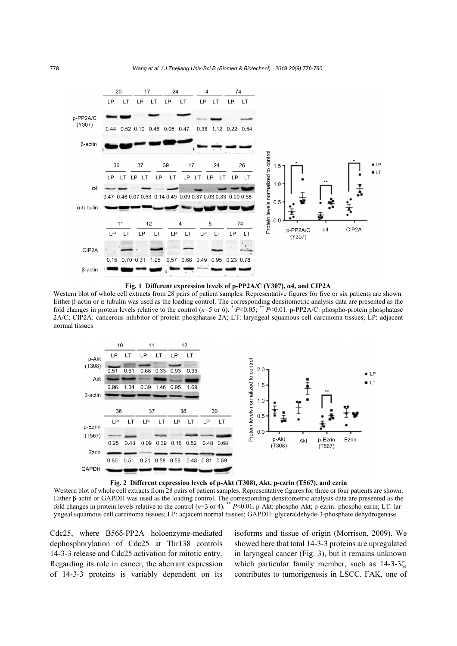

**Fig. 1 Different expression levels of p-PP2A/C (Y307), α4, and CIP2A** 

Western blot of whole cell extracts from 28 pairs of patient samples. Representative figures for five or six patients are shown. Either β-actin or α-tubulin was used as the loading control. The corresponding densitometric analysis data are presented as the fold changes in protein levels relative to the control (*n*=5 or 6). \* *P*<0.05; \*\* *P*<0.01. p-PP2A/C: phospho-protein phosphatase 2A/C; CIP2A: cancerous inhibitor of protein phosphatase 2A; LT: laryngeal squamous cell carcinoma tissues; LP: adjacent normal tissues



**Fig. 2 Different expression levels of p-Akt (T308), Akt, p-ezrin (T567), and ezrin**  Western blot of whole cell extracts from 28 pairs of patient samples. Representative figures for three or four patients are shown. Either β-actin or GAPDH was used as the loading control. The corresponding densitometric analysis data are presented as the fold changes in protein levels relative to the control ( $n=3$  or 4). \*\* *P*<0.01. p-Akt: phospho-Akt; p-ezrin: phospho-ezrin; LT: lar-

yngeal squamous cell carcinoma tissues; LP: adjacent normal tissues; GAPDH: glyceraldehyde-3-phosphate dehydrogenase

Cdc25, where B56δ-PP2A holoenzyme-mediated dephosphorylation of Cdc25 at Thr138 controls 14-3-3 release and Cdc25 activation for mitotic entry. Regarding its role in cancer, the aberrant expression of 14-3-3 proteins is variably dependent on its isoforms and tissue of origin (Morrison, 2009). We showed here that total 14-3-3 proteins are upregulated in laryngeal cancer (Fig. 3), but it remains unknown which particular family member, such as 14-3-3ζ, contributes to tumorigenesis in LSCC. FAK, one of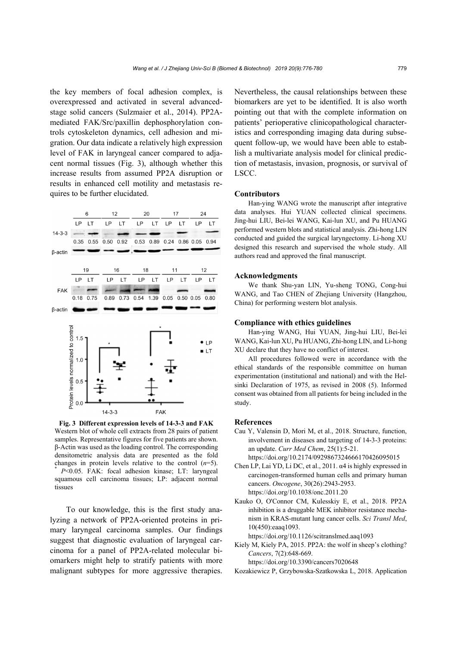the key members of focal adhesion complex, is overexpressed and activated in several advancedstage solid cancers (Sulzmaier et al., 2014). PP2Amediated FAK/Src/paxillin dephosphorylation controls cytoskeleton dynamics, cell adhesion and migration. Our data indicate a relatively high expression level of FAK in laryngeal cancer compared to adjacent normal tissues (Fig. 3), although whether this increase results from assumed PP2A disruption or results in enhanced cell motility and metastasis requires to be further elucidated.



**Fig. 3 Different expression levels of 14-3-3 and FAK**  Western blot of whole cell extracts from 28 pairs of patient samples. Representative figures for five patients are shown. β-Actin was used as the loading control. The corresponding densitometric analysis data are presented as the fold changes in protein levels relative to the control  $(n=5)$ .<br>\* *P*<0.05. FAK: focal adhesion kinase; LT: laryngeal squamous cell carcinoma tissues; LP: adjacent normal tissues

To our knowledge, this is the first study analyzing a network of PP2A-oriented proteins in primary laryngeal carcinoma samples. Our findings suggest that diagnostic evaluation of laryngeal carcinoma for a panel of PP2A-related molecular biomarkers might help to stratify patients with more malignant subtypes for more aggressive therapies. Nevertheless, the causal relationships between these biomarkers are yet to be identified. It is also worth pointing out that with the complete information on patients' perioperative clinicopathological characteristics and corresponding imaging data during subsequent follow-up, we would have been able to establish a multivariate analysis model for clinical prediction of metastasis, invasion, prognosis, or survival of LSCC.

#### **Contributors**

Han-ying WANG wrote the manuscript after integrative data analyses. Hui YUAN collected clinical specimens. Jing-hui LIU, Bei-lei WANG, Kai-lun XU, and Pu HUANG performed western blots and statistical analysis. Zhi-hong LIN conducted and guided the surgical laryngectomy. Li-hong XU designed this research and supervised the whole study. All authors read and approved the final manuscript.

#### **Acknowledgments**

We thank Shu-yan LIN, Yu-sheng TONG, Cong-hui WANG, and Tao CHEN of Zhejiang University (Hangzhou, China) for performing western blot analysis.

# **Compliance with ethics guidelines**

Han-ying WANG, Hui YUAN, Jing-hui LIU, Bei-lei WANG, Kai-lun XU, Pu HUANG, Zhi-hong LIN, and Li-hong XU declare that they have no conflict of interest.

All procedures followed were in accordance with the ethical standards of the responsible committee on human experimentation (institutional and national) and with the Helsinki Declaration of 1975, as revised in 2008 (5). Informed consent was obtained from all patients for being included in the study.

### **References**

- Cau Y, Valensin D, Mori M, et al., 2018. Structure, function, involvement in diseases and targeting of 14-3-3 proteins: an update. *Curr Med Chem*, 25(1):5-21. https://doi.org/10.2174/0929867324666170426095015
- Chen LP, Lai YD, Li DC, et al., 2011. α4 is highly expressed in carcinogen-transformed human cells and primary human cancers. *Oncogene*, 30(26):2943-2953. https://doi.org/10.1038/onc.2011.20
- Kauko O, O'Connor CM, Kulesskiy E, et al., 2018. PP2A inhibition is a druggable MEK inhibitor resistance mechanism in KRAS-mutant lung cancer cells. *Sci Transl Med*, 10(450):eaaq1093.

https://doi.org/10.1126/scitranslmed.aaq1093

Kiely M, Kiely PA, 2015. PP2A: the wolf in sheep's clothing? *Cancers*, 7(2):648-669.

https://doi.org/10.3390/cancers7020648

Kozakiewicz P, Grzybowska-Szatkowska L, 2018. Application